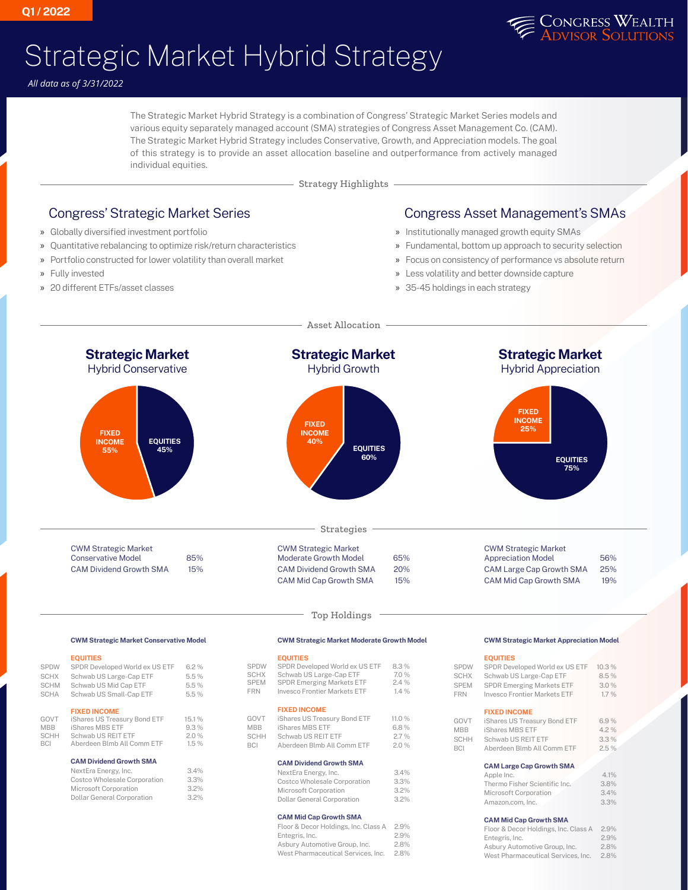

## Strategic Market Hybrid Strategy

*All data as of 3/31/2022*

The Strategic Market Hybrid Strategy is a combination of Congress' Strategic Market Series models and various equity separately managed account (SMA) strategies of Congress Asset Management Co. (CAM). The Strategic Market Hybrid Strategy includes Conservative, Growth, and Appreciation models. The goal of this strategy is to provide an asset allocation baseline and outperformance from actively managed individual equities.

Strategy Highlights

## Congress' Strategic Market Series

- » Globally diversified investment portfolio
- » Quantitative rebalancing to optimize risk/return characteristics
- » Portfolio constructed for lower volatility than overall market
- » Fully invested
- » 20 different ETFs/asset classes

## Congress Asset Management's SMAs

- » Institutionally managed growth equity SMAs
- » Fundamental, bottom up approach to security selection
- » Focus on consistency of performance vs absolute return
- » Less volatility and better downside capture
- » 35-45 holdings in each strategy